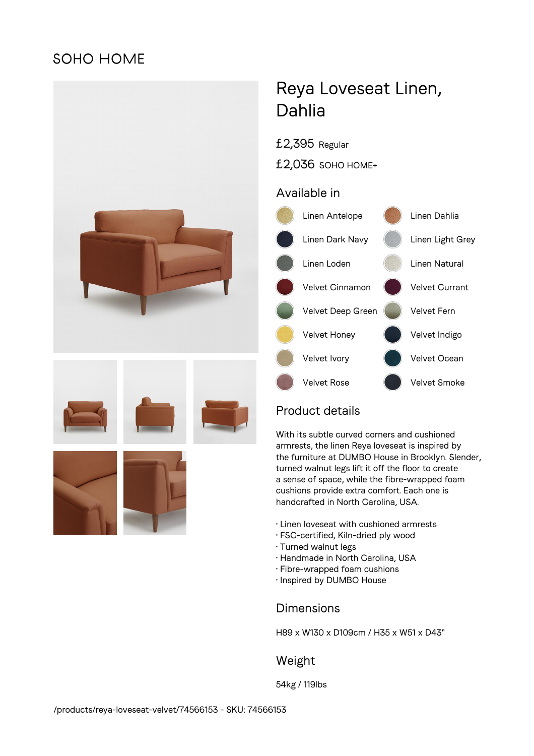## **SOHO HOME**



# Reya Loveseat Linen, Dahlia

£2,395 Regular

£2,036 SOHO HOME+

## Available in



## Product details

With its subtle curved corners and cushioned armrests, the linen Reya loveseat is inspired by the furniture at DUMBO House in Brooklyn. Slender, turned walnut legs lift it off the floor to create a sense of space, while the fibre-wrapped foam cushions provide extra comfort. Each one is handcrafted in North Carolina, USA.

- Linen loveseat with cushioned armrests
- FSC-certified, Kiln-dried ply wood
- Turned walnut legs
- Handmade in North Carolina, USA
- Fibre-wrapped foam cushions
- Inspired by DUMBO House

## Dimensions

H89 x W130 x D109cm / H35 x W51 x D43"

## Weight

54kg / 119lbs